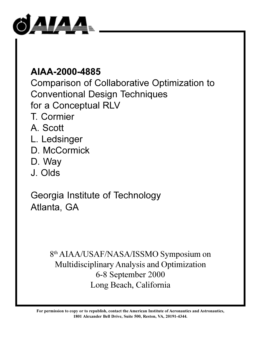

# **AIAA-2000-4885**

Comparison of Collaborative Optimization to Conventional Design Techniques for a Conceptual RLV

- T. Cormier
- A. Scott
- L. Ledsinger
- D. McCormick
- D. Way
- J. Olds

Georgia Institute of Technology Atlanta, GA

> 8th AIAA/USAF/NASA/ISSMO Symposium on Multidisciplinary Analysis and Optimization 6-8 September 2000 Long Beach, California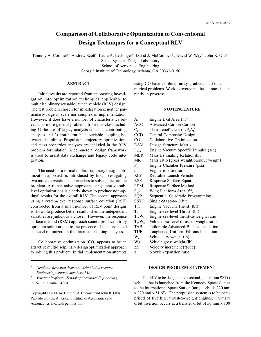# **Comparison of Collaborative Optimization to Conventional Design Techniques for a Conceptual RLV**

Timothy A. Cormier<sup>†</sup>, Andrew Scott<sup>†</sup>, Laura A. Ledsinger<sup>†</sup>, David J. McCormick<sup>†</sup>, David W. Way<sup>†</sup>, John R. Olds<sup>\*</sup> Space Systems Design Laboratory School of Aerospace Engineering

Georgia Institute of Technology, Atlanta, GA 30332-0150

# **ABSTRACT**

Initial results are reported from an ongoing investigation into optimization techniques applicable to multidisciplinary reusable launch vehicle (RLV) design. The test problem chosen for investigation is neither particularly large in scale nor complex in implementation. However, it does have a number of characteristics relevant to more general problems from this class including 1) the use of legacy analysis codes as contributing analyses and 2) non-hierarchical variable coupling between disciplines. Propulsion, trajectory optimization, and mass properties analyses are included in the RLV problem formulation. A commercial design framework is used to assist data exchange and legacy code integration.

The need for a formal multidisciplinary design optimization approach is introduced by first investigating two more conventional approaches to solving the sample problem. A rather naive approach using iterative sublevel optimizations is clearly shown to produce non-optimal results for the overall RLV. The second approach using a system-level response surface equation (RSE) constructed from a small number of RLV point designs is shown to produce better results when the independent variables are judiciously chosen. However, the response surface method (RSM) approach cannot produce a truly optimum solution due to the presence of uncoordinated sublevel optimizers in the three contributing analyses.

Collaborative optimization (CO) appears to be an attractive multidisciplinary design optimization approach to solving this problem. Initial implementation attempts

  *- Graduate Research Assistant, School of Aerospace Engineering, Student member AIAA.*

Copyright © 2000 by Timothy A. Cormier and John R. Olds. Published by the American Institute of Aeronautics and Astronautics, Inc. with permission.

using CO have exhibited noisy gradients and other numerical problems. Work to overcome these issues is currently in progress.

#### **NOMENCLATURE**

| $A_e$            | Engine Exit Area (in <sup>2</sup> )      |
|------------------|------------------------------------------|
| <b>ACC</b>       | Advanced Carbon-Carbon                   |
| $C_f$            | Thrust coefficient $(T/P_cA_t)$          |
| <b>CCD</b>       | Central Composite Design                 |
| C <sub>O</sub>   | Collaborative Optimization               |
| <b>DSM</b>       | Design Structure Matrix                  |
| $I_{sp,vac}$     | Engine Vacuum Specific Impulse (sec)     |
| MER              | Mass Estimating Relationship             |
| <b>MR</b>        | Mass ratio (gross weight/burnout weight) |
| P                | Engine Chamber Pressure (psia)           |
| r                | Engine mixture ratio                     |
| <b>RLV</b>       | Reusable Launch Vehicle                  |
| <b>RSE</b>       | Response Surface Equation                |
| <b>RSM</b>       | Response Surface Method                  |
| $S_{ref}$        | Wing Planform Area (ft <sup>2</sup> )    |
| SQP              | Sequential Quadratic Programming         |
| SSTO             | Single-Stage-to-Orbit                    |
| $T_{\rm vac}$    | Engine Vacuum Thrust (lbf)               |
| $T_{sl}$         | Engine sea-level Thrust (lbf)            |
| $T_{sl}/W_e$     | Engine sea-level thrust-to-weight ratio  |
| $T_{sl}/W_{g}$   | Vehicle sea-level thrust-to-weight ratio |
| <b>TABI</b>      | Tailorable Advanced Blanket Insulation   |
| TUFI             | Toughened Uniform Fibrous Insulation     |
| $W_{\text{div}}$ | Vehicle dry weight (lb)                  |
| Wg               | Vehicle gross weight (lb)                |
| ΔV               | Velocity increment (ft/sec)              |
| ε.               | Nozzle expansion ratio                   |

# **DESIGN PROBLEM STATEMENT**

The RLV to be designed is a second-generation SSTO vehicle that is launched from the Kennedy Space Center to the International Space Station (target orbit is 220 nmi x 220 nmi x 51.6º). The propulsion system is to be comprised of five high thrust-to-weight engines. Primary orbit insertion occurs at a transfer orbit of 50 nmi x 100

*<sup>\*</sup> - Assistant Professor, School of Aerospace Engineering, Senior member AIAA.*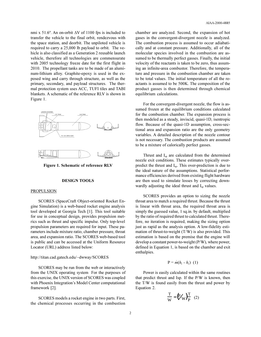nmi x 51.6°. An on-orbit  $\Delta V$  of 1100 fps is included to transfer the vehicle to the final orbit, rendezvous with the space station, and deorbit. The unpiloted vehicle is required to carry a 25,000 lb payload to orbit. The vehicle is also classified as a Generation 2 reusable launch vehicle, therefore all technologies are commensurate with 2005 technology freeze date for the first flight in 2010. The propellant tanks are to be made of an aluminum-lithium alloy. Graphite-epoxy is used in the exposed wing and carry through structure, as well as the primary, secondary, and payload structures. The thermal protection system uses ACC, TUFI tiles and TABI blankets. A schematic of the reference RLV is shown in Figure 1.



**Figure 1. Schematic of reference RLV**

#### **DESIGN TOOLS**

#### **PROPULSION**

SCORES (SpaceCraft Object-oriented Rocket Engine Simulation) is a web-based rocket engine analysis tool developed at Georgia Tech [1]. This tool suitable for use in conceptual design, provides propulsion metrics such as thrust and specific impulse. Only top-level propulsion parameters are required for input. These parameters include mixture ratio, chamber pressure, throat area, and expansion ratio. The SCORES web-based tool is public and can be accessed at the Uniform Resource Locator (URL) address listed below:

# http://titan.cad.gatech.edu/~dwway/SCORES

SCORES may be run from the web or interactively from the UNIX operating system For the purposes of this exercise, the UNIX version of SCORES was coupled with Phoenix Integration's Model Center computational framework [2].

SCORES models a rocket engine in two parts. First, the chemical processes occurring in the combustion

chamber are analyzed. Second, the expansion of hot gases in the convergent-divergent nozzle is analyzed. The combustion process is assumed to occur adiabatically and at constant pressure. Additionally, all of the molecular species involved in the combustion are assumed to be thermally perfect gasses. Finally, the initial velocity of the reactants is taken to be zero, thus assuming an infinite-area combustor. Therefore, the temperature and pressure in the combustion chamber are taken to be total values. The initial temperature of all the reactants is assumed to be 500K. The composition of the product gasses is then determined through chemical equilibrium calculations.

For the convergent-divergent nozzle, the flow is assumed frozen at the equilibrium conditions calculated for the combustion chamber. The expansion process is then modeled as a steady, inviscid, quasi-1D, isentropic flow. Because of the quasi-1D assumption, cross-sectional area and expansion ratio are the only geometry variables. A detailed description of the nozzle contour is not necessary. The combustion products are assumed to be a mixture of calorically perfect gasses.

Thrust and  $I_{sp}$  are calculated from the determined nozzle exit conditions. These estimates typically overpredict the thrust and  $I_{sp}$ . This over-prediction is due to the ideal nature of the assumptions. Statistical performance efficiencies derived from existing flight hardware are then used to simulate losses by correcting downwardly adjusting the ideal thrust and  $I_{sp}$  values.

SCORES provides an option to sizing the nozzle throat area to match a required thrust. Because the thrust is linear with throat area, the required throat area is simply the guessed value, 1 sq.in. by default, multiplied by the ratio of required thrust to calculated thrust. Therefore, no iteration is required, making the sizing option just as rapid as the analysis option. A low-fidelity estimation of thrust-to-weight (T/W) is also provided. This estimation is based on the premise that the engine will develop a constant power-to-weight (P/W), where power, defined in Equation 1, is based on the chamber and exit enthalpies.

$$
P = m(h_c - h_e) \quad (1)
$$

Power is easily calculated within the same routines that predict thrust and Isp. If the P/W is known, then the T/W is found easily from the thrust and power by Equation 2.

$$
\frac{T}{W} = \left(\frac{P}{W}\right)\frac{T}{P} \quad (2)
$$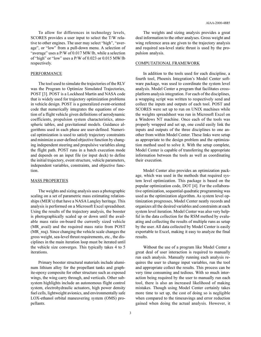To allow for differences in technology levels, SCORES provides a user input to select the T/W relative to other engines. The user may select "high", "average", or "low" from a pull-down menu. A selection of "average" uses a P/W of 0.017 MW/lb, while a selection of "high" or "low" uses a P/W of 0.023 or 0.015 MW/lb respectively.

# PERFORMANCE

The tool used to simulate the trajectories of the RLV was the Program to Optimize Simulated Trajectories, POST [3]. POST is a Lockheed Martin and NASA code that is widely used for trajectory optimization problems in vehicle design. POST is a generalized event-oriented code that numerically integrates the equations of motion of a flight vehicle given definitions of aerodynamic coefficients, propulsion system characteristics, atmospheric tables, and gravitational models. Guidance algorithms used in each phase are user-defined. Numerical optimization is used to satisfy trajectory constraints and minimize a user-defined objective function by changing independent steering and propulsive variables along the flight path. POST runs in a batch execution mode and depends on an input file (or input deck) to define the initial trajectory, event structure, vehicle parameters, independent variables, constraints, and objective function.

# MASS PROPERTIES

The weights and sizing analysis uses a photographic scaling on a set of parametric mass estimating relationships (MER's) that have a NASA Langley heritage. This analysis is performed on a Microsoft Excel spreadsheet. Using the results of the trajectory analysis, the booster is photographically scaled up or down until the available mass ratio on-board the currently sized vehicle (MR\_avail) and the required mass ratio from POST (MR\_req). Since changing the vehicle scale changes the gross weight, sea-level thrust requirements, etc., the disciplines in the main iteration loop must be iterated until the vehicle size converges. This typically takes 4 to 5 iterations.

Primary booster structural materials include aluminum lithium alloy for the propellant tanks and graphite-epoxy composite for other structure such as exposed wings, the wing carry through, and verticals. Other subsystem highlights include an autonomous flight control system, electrohydraulic actuators, high power density fuel cells, lightweight avionics, and environmentally safe LOX-ethanol orbital maneuvering system (OMS) propellants.

The weights and sizing analysis provides a great deal information to the other analyses. Gross weight and wing reference area are given to the trajectory analysis and required sea-level static thrust is used by the propulsion analysis.

# COMPUTATIONAL FRAMEWORK

In addition to the tools used for each discipline, a fourth tool, Phoenix Integration's Model Center software package, was used to coordinate the system level analysis. Model Center a program that facilitates crossplatform analysis integration. For each of the disciplines, a wrapping script was written to respectively send and collect the inputs and outputs of each tool. POST and SCORES were set up to run on UNIX machines while the weights spreadsheet was run in Microsoft Excel on a Windows NT machine. Once each of the tools was properly wrapped and set up, one could easily link the inputs and outputs of the three disciplines to one another from within Model Center. These links were setup as appropriate to the design problem and the optimization method used to solve it. With the setup complete, Model Center is capable of transferring the appropriate information between the tools as well as coordinating their execution.

Model Center also provides an optimization package, which was used in the methods that required system level optimization. This package is based on the popular optimization code, DOT [4]. For the collaborative optimization, sequential quadratic programming was used as the optimization algorithm. As system level optimization progresses, Model Center neatly records and organizes all the desired variables and constraints at each system level iteration. Model Center was also very helpful in the data collection for the RSM method by evaluating and collecting the results of multiple runs as setup by the user. All data collected by Model Center is easily exportable to Excel, making it easy to analyze the final results.

Without the use of a program like Model Center a great deal of user interaction is required to manually run each analysis. Manually running each analysis requires the user to change input variables, run the tool and appropriate collect the results. This process can be very time consuming and tedious. With so much interaction being required by the user to manually run each tool, there is also an increased likelihood of making mistakes. Though using Model Center certainly takes more time to set up, the cost of doing so is negligible when compared to the timesavings and error reduction gained when doing the actual analysis. However, it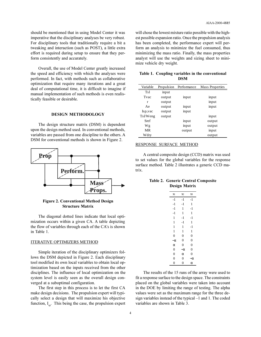should be mentioned that in using Model Center it was imperative that the disciplinary analyses be very robust. For disciplinary tools that traditionally require a bit a tweaking and interaction (such as POST), a little extra effort is required during setup to ensure that they perform consistently and accurately.

Overall, the use of Model Center greatly increased the speed and efficiency with which the analyses were performed. In fact, with methods such as collaborative optimization that require many iterations and a great deal of computational time, it is difficult to imagine if manual implementation of such methods is even realistically feasible or desirable.

# **DESIGN METHODOLOGY**

The design structure matrix (DSM) is dependent upon the design method used. In conventional methods, variables are passed from one discipline to the others. A DSM for conventional methods is shown in Figure 2.



# **Figure 2. Conventional Method Design Structure Matrix**

The diagonal dotted lines indicate that local optimization occurs within a given CA. A table depicting the flow of variables through each of the CA's is shown in Table 1.

#### ITERATIVE OPTIMIZERS METHOD

Simple iteration of the disciplinary optimizers follows the DSM depicted in Figure 2. Each disciplinary tool modified its own local variables to obtain local optimization based on the inputs received from the other disciplines. The influence of local optimization on the system level is easily seen as the overall design converged at a suboptimal configuration.

The first step in this process is to let the first CA make design decisions. The propulsion expert will typically select a design that will maximize his objective function,  $I_{\rm so}$ . This being the case, the propulsion expert will chose the lowest mixture ratio possible with the highest possible expansion ratio. Once the propulsion analysis has been completed, the performance expert will perform an analysis to minimize the fuel consumed, thus minimizing the mass ratio. Finally, the mass properties analyst will use the weights and sizing sheet to minimize vehicle dry weight.

|  |            | Table 1. Coupling variables in the conventional |
|--|------------|-------------------------------------------------|
|  | <b>DSM</b> |                                                 |

| Variable |            | Performance |                 |
|----------|------------|-------------|-----------------|
|          | Propulsion |             | Mass Properties |
| Ts1      | input      |             |                 |
| Tvac     | output     | input       | input           |
| r        | output     |             | input           |
| Ae       | output     | input       | input           |
| Isp, vac | output     | input       |                 |
| TsVWeng  | output     |             | input           |
| Sref     |            | input       | output          |
| Wg       |            | input       | output          |
| MR       |            | output      | input           |
| W dry    |            |             | output          |

# RESPONSE SURFACE METHOD

A central composite design (CCD) matrix was used to set values for the global variables for the response surface method. Table 2 illustrates a generic CCD matrix.

# **Table 2. Generic Central Composite Design Matrix**

| X1             | X <sub>2</sub> | X3             |
|----------------|----------------|----------------|
| -1             | -1             | -1             |
| -1             | -1             | 1              |
| -1             | $\mathbf{1}$   | -1             |
| -1             | 1              | 1              |
| 1              | -1             | -1             |
| $\mathbf{1}$   | -1             | 1              |
| 1              | 1              | -1             |
| 1              | 1              | 1              |
| 0              | $\overline{0}$ | 0              |
| $-\alpha$      | $\overline{0}$ | $\overline{0}$ |
| $\alpha$       | 0              | $\overline{0}$ |
| $\overline{0}$ | -α             | 0              |
| $\overline{0}$ | $\alpha$       | 0              |
| $\overline{0}$ | $\overline{0}$ | α              |
| $\overline{0}$ | $\overline{0}$ | α              |

The results of the 15 runs of the array were used to fit a response surface to the design space. The constraints placed on the global variables were taken into account in the DOE by limiting the range of testing. The alpha values were set as the maximum range for the three design variables instead of the typical  $-1$  and 1. The coded variables are shown in Table 3.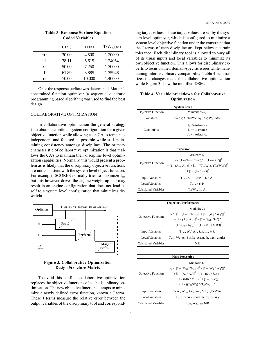|                   | $\epsilon$ (x <sub>1</sub> ) | $r(x_2)$ | $T/W_g(x_3)$ |
|-------------------|------------------------------|----------|--------------|
| $-\alpha$         | 30.00                        | 4.500    | 1.20000      |
| $-1$              | 38.11                        | 5.615    | 1.24054      |
| $\mathbf{\Omega}$ | 50.00                        | 7.250    | 1.30000      |
|                   | 61.89                        | 8.885    | 1.35946      |
| α                 | 70.00                        | 10.000   | 1.40000      |

# **Table 3. Response Surface Equation Coded Variables**

Once the response surface was determined, Matlab's constrained function optimizer (a sequential quadratic programming based algorithm) was used to find the best design.

# COLLABORATIVE OPTIMIZATION

In collaborative optimization the general strategy is to obtain the optimal system configuration for a given objective function while allowing each CA to remain as independent and focused as possible while still maintaining consistency amongst disciplines. The primary characteristic of collaborative optimization is that it allows the CA's to maintain their discipline level optimization capabilities. Normally, this would present a problem as is likely that the disciplinary objective functions are not consistent with the system level object function. For example, SCORES normally tries to maximize  $I_{sp}$ , but this however drives the engine weight up and may result in an engine configuration that does not lend itself to a system level configuration that minimizes dry weight.



# **Figure 3. Collaborative Optimization Design Structure Matrix**

To avoid this conflict, collaborative optimization replaces the objective functions of each disciplinary optimization. The new objective function attempts to minimize a newly defined error function, known a J term. These J terms measure the relative error between the output variables of the disciplinary tool and corresponding target values. These target values are set by the system level optimizer, which is configured to minimize a system level objective function under the constraint that the J terms of each discipline are kept below a certain tolerance. Each disciplinary tool is allowed to vary all of its usual inputs and local variables to minimize its own objective function. This allows for disciplinary experts to focus on their domain-specific issues while maintaining interdisciplinary compatibility. Table 4 summarizes the changes made for collaborative optimization while Figure 3 show the modified DSM.

**Table 4. Variable breakdown for Collaborative Optimization**

| <b>System Level</b> |                                                                                                                    |  |  |
|---------------------|--------------------------------------------------------------------------------------------------------------------|--|--|
| Objective Function  | Minimize $W_{\text{dry}}$                                                                                          |  |  |
| Variables           | $T_{\rm vac}$ , r', $\varepsilon$ ', $T_{\rm sl}/W_{\rm e}$ ', $I_{\rm sp}$ ', $A_{\rm e}$ ', $W_{\rm g}$ ', $MR'$ |  |  |
|                     | $J_p \le$ tolerance                                                                                                |  |  |
| Constraints         | $J_t \le$ to lerance                                                                                               |  |  |
|                     | $J_w \le$ tolerance                                                                                                |  |  |
|                     |                                                                                                                    |  |  |
|                     | Propulsion                                                                                                         |  |  |

|                      | Minimize $J_p$ :                                                                              |
|----------------------|-----------------------------------------------------------------------------------------------|
| Objective Function   | $J_p = [1 - (T_{vac} / T_{vac})]^2 + [1 - (r / r^2)]^2$                                       |
|                      | + $[1 - (A_e / A_e')]^2$ + $[1 - ((T_{sl}/W_e) / (T_{sl}/W_e)')]^2$                           |
|                      | $+[1-(I_{\rm sn}/I_{\rm sn})]^2$                                                              |
| Input Variables      | $T_{\rm vac}$ ', r', $\varepsilon'$ , $T_{\rm sl}/W_{\rm e}$ ', $I_{\rm sp}$ ', $A_{\rm e}$ ' |
| Local Variables      | $T_{\text{vac}}$ , r, $\epsilon$ , $P_c$                                                      |
| Calculated Variables | $T_{sl}/W_e$ , $I_{sp}$ , $A_e$                                                               |

|                      | <b>Trajectory Performance</b>                                                         |  |  |  |  |
|----------------------|---------------------------------------------------------------------------------------|--|--|--|--|
|                      | Minimize I <sub>t</sub>                                                               |  |  |  |  |
|                      | $J_t = [1 - (T_{vac} / T_{vac}')]^2 + [1 - (W_g / W_g')]^2$                           |  |  |  |  |
| Objective Function   | $+[1-(A_e/A_e^{\circ})]^2+[1-(S_{ref}/S_{ref}^{\circ})]^2$                            |  |  |  |  |
|                      | + $[1 - (I_{sp} / I_{sp})]^{2} + [1 - (MR / MR')]^{2}$                                |  |  |  |  |
| Input Variables      | $T_{\rm vac}$ ', $W_{\rm g}$ ', $A_{\rm e}$ ', $S_{\rm ref}$ ', $I_{\rm sp}$ ', $MR'$ |  |  |  |  |
| Local Variables      | $Tv_{ac}$ , $W_g$ , $A_e$ , $S_{ref}$ , $I_{sp}$ , $Azimuth$ , pitch angles           |  |  |  |  |
| Calculated Variables | МR                                                                                    |  |  |  |  |
|                      |                                                                                       |  |  |  |  |

|                      | <b>Mass Properties</b>                                                                                                                                                                                                                  |
|----------------------|-----------------------------------------------------------------------------------------------------------------------------------------------------------------------------------------------------------------------------------------|
| Objective Function   | Minimize $J_w$ :<br>$J_w = [1 - (T_{vac} / T_{vac})]^2 + [1 - (W_g / W_g')]^2$<br>+ $[1 - (A_e / A_e')]^2$ + $[1 - (S_{ref} / S_{ref})]^2$<br>+ $[1 - (MR/MR')]^{2}$ + $[1 - (r/r')]^{2}$<br>+ $[1 - ((T_{sl}/W_e) / (T_{sl}/W_e)')]^2$ |
| Input Variables      | Tvac', $Wg'$ , Ae', Sref', MR', r', Tsl/We'                                                                                                                                                                                             |
| Local Variables      | $A_e$ , r, T <sub>sl</sub> /W <sub>e</sub> , scale factor, T <sub>sl</sub> /W <sub>g</sub>                                                                                                                                              |
| Calculated Variables | $T_{\text{vac}}$ , $W_{\varrho}$ , $S_{\text{ref}}$ , MR                                                                                                                                                                                |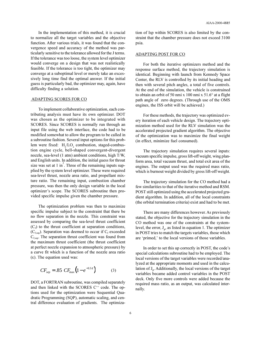In the implementation of this method, it is crucial to normalize all the target variables and the objective function. After various trials, it was found that the convergence speed and accuracy of the method was particularly sensitive to the tolerance allowed for the J terms. If the tolerance was too loose, the system level optimizer would converge on a design that was not realistically feasible. If the tolerance is too tight, the optimizer may converge at a suboptimal level or merely take an excessively long time find the optimal answer. If the initial guess is particularly bad, the optimizer may, again, have difficulty finding a solution.

### ADAPTING SCORES FOR CO

To implement collaborative optimization, each contributing analysis must have its own optimizer. DOT was chosen as the optimizer to be integrated with SCORES. Since SCORES is normally run through an input file using the web interface, the code had to be modified somewhat to allow the program to be called in a subroutine fashion. Several input options for this problem were fixed:  $H_2/LO_2$  combustion, staged-combustion engine cycle, bell-shaped convergent-divergent nozzle, sea-level (1 atm) ambient conditions, high T/W, and English units. In addition, the initial guess for throat size was set at 1 in<sup>2</sup>. Three of the remaining inputs supplied by the system level optimizer. These were required sea-level thrust, nozzle area ratio, and propellant mixture ratio. The remaining input, combustion chamber pressure, was then the only design variable in the local optimizer's scope. The SCORES subroutine then provided specific impulse given the chamber pressure.

The optimization problem was then to maximize specific impulse subject to the constraint that there be no flow separation in the nozzle. This constraint was assessed by comparing the sea-level thrust coefficient  $(C_f)$  to the thrust coefficient at separation conditions,  $(C_{f,\text{sep}})$ . Separation was deemed to occur if  $C_f$  exceeded  $C_{f,\text{sep}}$ . The separation thrust coefficient was found from the maximum thrust coefficient (the thrust coefficient at perfect nozzle expansion to atmospheric pressure) by a curve fit which is a function of the nozzle area ratio  $(\epsilon)$ . The equation used was:

$$
CF_{sep} = .85 \ CF_{\text{max}} \left( 1 - e^{-0.3 \epsilon} \right) \tag{3}
$$

DOT, a FORTRAN subroutine, was compiled separately and then linked with the SCORES  $C^{+}$  code. The options used for the optimization were Sequential Quadratic Programming (SQP), automatic scaling, and central difference evaluation of gradients. The optimiza-

tion of Isp within SCORES is also limited by the constraint that the chamber pressure does not exceed 3100 psia.

#### ADAPTING POST FOR CO

For both the iterative optimizers method and the response surface method, the trajectory simulation is identical. Beginning with launch from Kennedy Space Center, the RLV is controlled by its initial heading and then with several pitch angles, a total of five controls. At the end of the simulation, the vehicle is constrained to obtain an orbit of 50 nmi x 100 nmi x 51.6° at a flight path angle of zero degrees. (Through use of the OMS engines, the ISS orbit will be achieved.)

For these methods, the trajectory was optimized every iteration of each vehicle design. The trajectory optimization method used for the RLV simulation was the accelerated projected gradient algorithm. The objective of the optimization was to maximize the final weight (in effect, minimize fuel consumed).

The trajectory simulation requires several inputs: vacuum specific impulse, gross lift-off weight, wing planform area, total vacuum thrust, and total exit area of the engines. The output used was the required mass ratio, which is burnout weight divided by gross lift-off weight.

The trajectory simulation for the CO method had a few similarities to that of the iterative method and RSM. POST still optimized using the accelerated projected gradient algorithm. In addition, all of the local constraints (the orbital termination criteria) exist and had to be met.

There are many differences however. As previously stated, the objective for the trajectory simulation in the CO method was one of the constraints at the systemlevel, the error,  $J_p$ , as listed in equation 1. The optimizer in POST tries to match the targets variables, those which are 'primed,' to the local versions of those variables.

In order to set this up correctly in POST, the code's special calculations subroutine had to be employed. The local versions of the target variables were recorded/analyzed at the appropriate moments and used in the calculation of  $J<sub>p</sub>$ . Additionally, the local versions of the target variables became added control variables in the POST deck. Only five more controls were added because the required mass ratio, as an output, was calculated internally.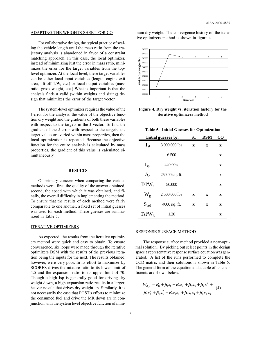# ADAPTING THE WEIGHTS SHEET FOR CO

For collaborative design, the typical practice of scaling the vehicle length until the mass ratio from the trajectory analysis is abandoned in favor of a constraint matching approach. In this case, the local optimizer, instead of minimizing just the error in mass ratio, minimizes the error for the target variables from the toplevel optimizer. At the local level, these target variables can be either local input variables (length, engine exit area, lift-off T/W, etc.) or local output variables (mass ratio, gross weight, etc.) What is important is that the analysis finds a valid (within weights and sizing) design that minimizes the error of the target vector.

The system-level optimizer requires the value of the J error for the analysis, the value of the objective function dry weight and the gradients of both these variables with respect to the targets in the J vector. To find the gradient of the J error with respect to the targets, the target values are varied within mass properties, then the local optimization is repeated. Because the objective function for the entire analysis is calculated by mass properties, the gradient of this value is calculated simultaneously.

#### **RESULTS**

Of primary concern when comparing the various methods were, first, the quality of the answer obtained, second, the speed with which it was obtained, and finally, the overall difficulty in implementing the method. To ensure that the results of each method were fairly comparable to one another, a fixed set of initial guesses was used for each method. These guesses are summarized in Table 5.

#### ITERATIVE OPTIMIZERS

As expected, the results from the iterative optimizers method were quick and easy to obtain. To ensure convergence, six loops were made through the iterative optimizers DSM with the results of the previous iteration being the inputs for the next. The results obtained, however, were very poor. In its effort to maximize I<sub>sp</sub>, SCORES drives the mixture ratio to its lower limit of 4.5 and the expansion ratio to its upper limit of 70. Though a high Isp is generally good for driving dry weight down, a high expansion ratio results in a larger, heaver nozzle that drives dry weight up. Similarly, it is not necessarily the case that POST's efforts to minimize the consumed fuel and drive the MR down are in conjunction with the system level objective function of minimum dry weight. The convergence history of the iterative optimizers method is shown in figure 4.



**Figure 4. Dry weight vs. iteration history for the iterative optimizers method**

|  |  |  |  | Table 5. Initial Guesses for Optimization |
|--|--|--|--|-------------------------------------------|
|--|--|--|--|-------------------------------------------|

|                          | Initial guesses by: | SI           | <b>RSM</b>   | $\rm CO$    |
|--------------------------|---------------------|--------------|--------------|-------------|
| $T_{sl}$                 | 3,000,000 lbs       | $\mathbf{x}$ | $\mathbf x$  | $\mathbf x$ |
| r                        | 6.500               |              |              | $\mathbf x$ |
| $I_{sp}$                 | 440.00 s            |              |              | $\mathbf x$ |
| $A_{\rm e}$              | 250.00 sq. ft.      |              |              | $\mathbf x$ |
| $Tsl/W_e$                | 50.000              |              |              | $\mathbf x$ |
| $W_g$                    | 2,500,000 lbs       | $\mathbf{x}$ | $\mathbf{x}$ | $\mathbf x$ |
| $S_{ref}$                | 4000 sq. ft.        | $\mathbf x$  | $\mathbf x$  | $\mathbf x$ |
| $\text{Ts}VW_{\text{g}}$ | 1.20                |              |              | $\mathbf x$ |

### RESPONSE SURFACE METHOD

The response surface method provided a near-optimal solution. By picking out select points in the design space a representative response surface equation was generated. A list of the runs performed to complete the CCD matrix and their solutions is shown in Table 6. The general form of the equation and a table of its coefficients are shown below.

$$
W_{dry} = \beta_0 + \beta_1 x_1 + \beta_2 x_2 + \beta_3 x_3 + \beta_4 x_1^2 +
$$
  

$$
\beta_5 x_2^2 + \beta_6 x_3^2 + \beta_7 x_1 x_2 + \beta_8 x_1 x_3 + \beta_9 x_2 x_3
$$
 (4)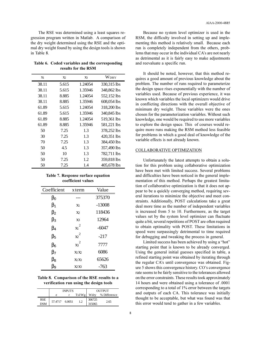The RSE was determined using a least squares regression program written in Matlab. A comparison of the dry weight determined using the RSE and the optimal dry weight found by using the design tools is shown in Table 8.

| Table 6. Coded variables and the corresponding |
|------------------------------------------------|
| results for the RSM                            |
|                                                |

| X <sub>1</sub> | X <sub>2</sub> | X3      | <b>WDRY</b> |
|----------------|----------------|---------|-------------|
| 38.11          | 5.615          | 1.24054 | 330,315 lbs |
| 38.11          | 5.615          | 1.35946 | 348,862 lbs |
| 38.11          | 8.885          | 1.24054 | 552,152 lbs |
| 38.11          | 8.885          | 1.35946 | 608,054 lbs |
| 61.89          | 5.615          | 1.24054 | 318,200 lbs |
| 61.89          | 5.615          | 1.35946 | 340,845 lbs |
| 61.89          | 8.885          | 1.24054 | 519,361 lbs |
| 61.89          | 8.885          | 1.35946 | 581,221 lbs |
| 50             | 7.25           | 1.3     | 378,252 lbs |
| 30             | 7.25           | 1.3     | 420,351 lbs |
| 70             | 7.25           | 1.3     | 384,450 lbs |
| 50             | 4.5            | 1.3     | 357,490 lbs |
| 50             | 10             | 1.3     | 782,711 lbs |
| 50             | 7.25           | 1.2     | 359.818 lbs |
| 50             | 7.25           | 1.4     | 405,678 lbs |

**Table 7. Response surface equation coefficient values**

| Coefficient | x term                   | Value    |
|-------------|--------------------------|----------|
| $\beta_0$   |                          | 375370   |
| $\beta_1$   | X1                       | $-13008$ |
| $\beta_2$   | X2                       | 118436   |
| $\beta_3$   | X3                       | 12964    |
| $\beta_4$   | $\mathrm{X\!i}^2$        | $-6047$  |
| $\beta_5$   | $\mathbf{x}^2$           | $-217$   |
| $\beta_6$   | $\mathrm{x\mathrm{s}}^2$ | 7777     |
| $\beta_7$   | X1 X2                    | 6086     |
| $\beta_8$   | X1 X3                    | 65626    |
| $\beta_9$   | X2X3                     | $-763$   |

**Table 8. Comparison of the RSE results to a verification run using the design tools**

|            | <b>INPUTS</b> |        | <b>OUTPUT</b> |        |              |
|------------|---------------|--------|---------------|--------|--------------|
|            | e             |        | Tsl/Wg        | Wdrv   | % Difference |
| <b>RSE</b> | 574717        |        |               | 306725 |              |
| <b>DSM</b> |               | 6.0051 | 1.2           | 315065 | 2.65         |

Because no system level optimizer is used in the RSM, the difficulty involved in setting up and implementing this method is relatively small. Because each run is completely independent from the others, problems that may occur in the individual CA's are not nearly as detrimental as it is fairly easy to make adjustments and reevaluate a specific run.

It should be noted, however, that this method requires a good amount of previous knowledge about the problem. The number of runs required to parameterize the design space rises exponentially with the number of variables used. Because of previous experience, it was known which variables the local optimizers would drive in conflicting directions with the overall objective of minimum dry weight. These variables were the ones chosen for the parameterization variables. Without such knowledge, one would be required to use more variables to explore the design space. This of courses would require more runs making the RSM method less feasible for problems in which a good deal of knowledge of the variable effects is not already known.

# COLLABORATIVE OPTIMIZATION

Unfortunately the latest attempts to obtain a solution for this problem using collaborative optimization have been met with limited success. Several problems and difficulties have been noticed in the general implementation of this method. Perhaps the greatest limitation of collaborative optimization is that it does not appear to be a quickly converging method, requiring several iterations to minimize the objective and meet constraints. Additionally, POST calculations take a great deal more time as the number of independent variables is increased from 5 to 10. Furthermore, as the target values set by the system level optimizer can fluctuate quite a bit, several repetitions of POST are often required to obtain optimality with POST. These limitations in speed were surpassingly detrimental to time required for debugging and tweaking the process in general.

Limited success has been achieved by using a "hot" starting point that is known to be already converged. Using the general initial guesses specified in table, a refined starting point was obtained by iterating through the regular CA's until convergence was obtained. Figure 5 shows this convergence history. CO's convergence rate seems to be fairly sensitive to the tolerances allowed on the error constraints. These results took approximately 14 hours and were obtained using a tolerance of .0001 corresponding to a total of 1% error between the targets and outputs of each CA. This tolerance was initially thought to be acceptable, but what was found was that this error would tend to gather in a few variables.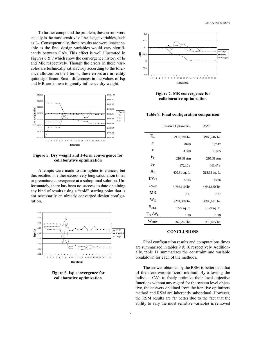To further compound the problem, these errors were usually in the most sensitive of the design variables, such as Isp. Consequentially, these results are were unacceptable as the final design variables would vary significantly between CA's. This effect is well illustrated in Figures 6 & 7 which show the convergence history of  $I_{sp}$ and MR respectively. Though the errors in these variables are technically satisfactory according to the tolerance allowed on the J terms, these errors are in reality quite significant. Small differences in the values of Isp and MR are known to greatly influence dry weight.



# **Figure 5. Dry weight and J-term convergence for collaborative optimization**

Attempts were made to use tighter tolerances, but this resulted in either excessively long calculation times or premature convergence at a suboptimal solution. Unfortunately, there has been no success to date obtaining any kind of results using a "cold" starting point that is not necessarily an already converged design configuration.



**Figure 6. Isp convergence for collaborative optimization**



**Figure 7. MR convergence for collaborative optimization**

#### **Table 9. Final configuration comparison**

|                  | <b>Iterative Optimizers</b> | <b>RSM</b>       |
|------------------|-----------------------------|------------------|
| $T_{SL}$         | 3,937,930 lbs               | 3,966,746 lbs    |
| e                | 70.00                       | 57.47            |
| r                | 4.500                       | 6.005            |
| $P_{C}$          | 210.88 atm                  | 210.88 atm       |
| $I_{SP}$         | 472.10 s                    | 449.47 s         |
| $A_{\rm E}$      | 400.81 sq. ft.              | $318.93$ sq. ft. |
| $T/W_E$          | 67.53                       | 73.66            |
| $T_{\rm VAC}$    | 4,786,110 lbs               | 4,641,680 lbs    |
| <b>MR</b>        | 7.11                        | 7.77             |
| $W_G$            | 3,281,608 lbs               | 3,305,621 lbs    |
| $\rm S_{REF}$    | 5725 sq. ft.                | 5179 sq. ft.     |
| $T_{SL}/W_G$     | 1.20                        | 1.20             |
| W <sub>DRY</sub> | 346,297 lbs                 | 315,695 lbs      |

# **CONCLUSIONS**

Final configuration results and computations times are summarized in tables  $9 & 10$  respectively. Additionally, table 11 summarizes the constraint and variable breakdown for each of the methods.

The answer obtained by the RSM is better than that of the iterativeoptimizers method. By allowing the indiviual CA's to freely optimize their local objective functions without any regard for the system level objective, the answers obtained from the iterative optimizers method and RSM are inherently suboptimal. However, the RSM results are far better due to the fact that the ability to vary the most sensitive variables is removed